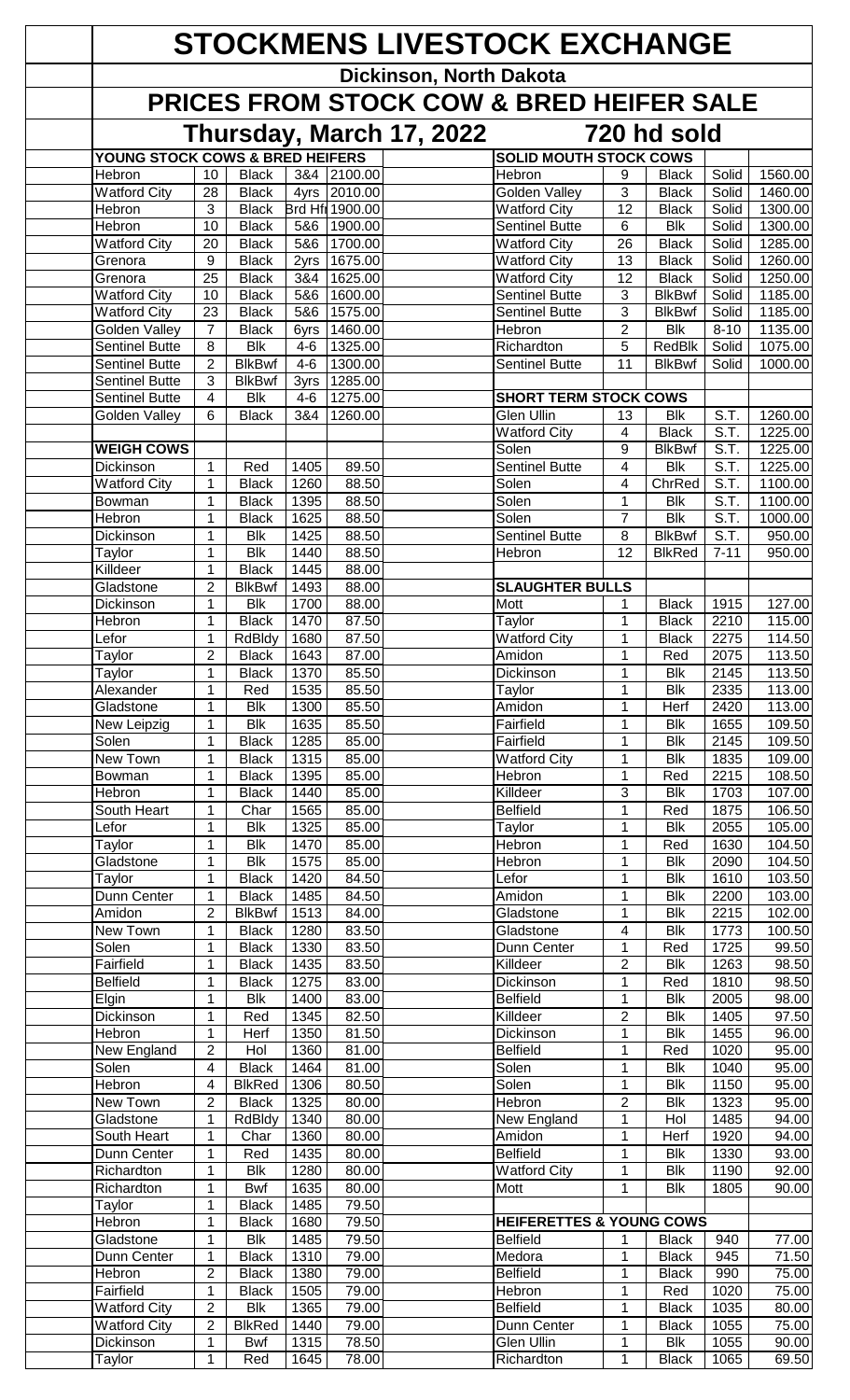| <b>STOCKMENS LIVESTOCK EXCHANGE</b>    |                                         |                                         |                 |                    |                         |                                            |                      |                                   |                   |                    |  |
|----------------------------------------|-----------------------------------------|-----------------------------------------|-----------------|--------------------|-------------------------|--------------------------------------------|----------------------|-----------------------------------|-------------------|--------------------|--|
|                                        |                                         |                                         |                 |                    | Dickinson, North Dakota |                                            |                      |                                   |                   |                    |  |
|                                        |                                         |                                         |                 |                    |                         | PRICES FROM STOCK COW & BRED HEIFER SALE   |                      |                                   |                   |                    |  |
|                                        | Thursday, March 17, 2022<br>720 hd sold |                                         |                 |                    |                         |                                            |                      |                                   |                   |                    |  |
| YOUNG STOCK COWS & BRED HEIFERS        |                                         |                                         |                 |                    |                         | <b>SOLID MOUTH STOCK COWS</b>              |                      |                                   |                   |                    |  |
| Hebron<br><b>Watford City</b>          | 10<br>28                                | <b>Black</b><br><b>Black</b>            | 3&4<br>4yrs     | 2100.00<br>2010.00 |                         | Hebron<br><b>Golden Valley</b>             | 9<br>3               | <b>Black</b><br><b>Black</b>      | Solid<br>Solid    | 1560.00<br>1460.00 |  |
| Hebron                                 | 3                                       | <b>Black</b>                            |                 | Brd Hf  1900.00    |                         | <b>Watford City</b>                        | 12                   | <b>Black</b>                      | Solid             | 1300.00            |  |
| Hebron                                 | 10                                      | <b>Black</b>                            | 5&6             | 1900.00            |                         | <b>Sentinel Butte</b>                      | 6                    | <b>Blk</b>                        | Solid             | 1300.00            |  |
| <b>Watford City</b><br>Grenora         | 20<br>9                                 | <b>Black</b><br><b>Black</b>            | 5&6             | 1700.00<br>1675.00 |                         | <b>Watford City</b><br><b>Watford City</b> | 26<br>13             | <b>Black</b><br><b>Black</b>      | Solid<br>Solid    | 1285.00<br>1260.00 |  |
| Grenora                                | $\overline{25}$                         | <b>Black</b>                            | 2yrs<br>3&4     | 1625.00            |                         | <b>Watford City</b>                        | 12                   | <b>Black</b>                      | Solid             | 1250.00            |  |
| <b>Watford City</b>                    | 10                                      | <b>Black</b>                            | 5&6             | 1600.00            |                         | <b>Sentinel Butte</b>                      | 3                    | <b>BlkBwf</b>                     | Solid             | 1185.00            |  |
| <b>Watford City</b>                    | 23                                      | <b>Black</b>                            | 5&6             | 1575.00            |                         | <b>Sentinel Butte</b>                      | 3                    | <b>BlkBwf</b>                     | Solid             | 1185.00            |  |
| Golden Valley<br><b>Sentinel Butte</b> | $\overline{7}$<br>8                     | <b>Black</b><br><b>Blk</b>              | 6yrs<br>$4 - 6$ | 1460.00<br>1325.00 |                         | Hebron<br>Richardton                       | $\overline{2}$<br>5  | <b>Blk</b><br><b>RedBlk</b>       | $8 - 10$<br>Solid | 1135.00<br>1075.00 |  |
| <b>Sentinel Butte</b>                  | $\overline{2}$                          | <b>BlkBwf</b>                           | $4 - 6$         | 1300.00            |                         | <b>Sentinel Butte</b>                      | 11                   | <b>BlkBwf</b>                     | Solid             | 1000.00            |  |
| <b>Sentinel Butte</b>                  | 3                                       | <b>BlkBwf</b>                           | 3yrs            | 1285.00            |                         |                                            |                      |                                   |                   |                    |  |
| <b>Sentinel Butte</b>                  | 4                                       | <b>Blk</b>                              | $4-6$           | 1275.00            |                         | <b>SHORT TERM STOCK COWS</b>               |                      |                                   |                   |                    |  |
| Golden Valley                          | 6                                       | <b>Black</b>                            | 3&4             | 1260.00            |                         | <b>Glen Ullin</b><br><b>Watford City</b>   | 13<br>$\overline{4}$ | Blk<br><b>Black</b>               | S.T.<br>S.T.      | 1260.00<br>1225.00 |  |
| <b>WEIGH COWS</b>                      |                                         |                                         |                 |                    |                         | Solen                                      | 9                    | <b>BlkBwf</b>                     | S.T.              | 1225.00            |  |
| Dickinson                              | $\mathbf 1$                             | Red                                     | 1405            | 89.50              |                         | <b>Sentinel Butte</b>                      | 4                    | <b>Blk</b>                        | S.T.              | 1225.00            |  |
| <b>Watford City</b>                    | 1                                       | <b>Black</b>                            | 1260            | 88.50              |                         | Solen                                      | 4                    | ChrRed                            | S.T.              | 1100.00            |  |
| Bowman                                 | 1                                       | <b>Black</b>                            | 1395            | 88.50              |                         | Solen                                      | $\mathbf 1$          | <b>Blk</b>                        | S.T.              | 1100.00            |  |
| Hebron<br>Dickinson                    | 1<br>1                                  | <b>Black</b><br><b>Blk</b>              | 1625<br>1425    | 88.50<br>88.50     |                         | Solen<br>Sentinel Butte                    | $\overline{7}$<br>8  | <b>Blk</b><br><b>BlkBwf</b>       | S.T.<br>S.T.      | 1000.00<br>950.00  |  |
| Taylor                                 | 1                                       | <b>Blk</b>                              | 1440            | 88.50              |                         | Hebron                                     | 12                   | <b>BlkRed</b>                     | $7 - 11$          | 950.00             |  |
| Killdeer                               | 1                                       | <b>Black</b>                            | 1445            | 88.00              |                         |                                            |                      |                                   |                   |                    |  |
| Gladstone                              | 2                                       | <b>BlkBwf</b>                           | 1493            | 88.00              |                         | <b>SLAUGHTER BULLS</b>                     |                      |                                   |                   |                    |  |
| Dickinson<br>Hebron                    | 1<br>1                                  | <b>Blk</b><br><b>Black</b>              | 1700<br>1470    | 88.00<br>87.50     |                         | <b>Mott</b><br>Taylor                      | 1<br>1               | <b>Black</b><br><b>Black</b>      | 1915<br>2210      | 127.00<br>115.00   |  |
| Lefor                                  | $\mathbf 1$                             | RdBldy                                  | 1680            | 87.50              |                         | <b>Watford City</b>                        | 1                    | <b>Black</b>                      | 2275              | 114.50             |  |
| Taylor                                 | 2                                       | <b>Black</b>                            | 1643            | 87.00              |                         | Amidon                                     | 1                    | Red                               | 2075              | 113.50             |  |
| Taylor                                 | 1                                       | <b>Black</b>                            | 1370            | 85.50              |                         | <b>Dickinson</b>                           | 1                    | <b>Blk</b>                        | 2145              | 113.50             |  |
| Alexander                              | 1                                       | Red                                     | 1535            | 85.50              |                         | Taylor                                     | 1                    | <b>Blk</b>                        | 2335              | 113.00<br>113.00   |  |
| Gladstone<br>New Leipzig               | 1<br>$\mathbf{1}$                       | <b>Blk</b><br>$\overline{\mathsf{Blk}}$ | 1300<br>1635    | 85.50<br>85.50     |                         | Amidon<br>Fairfield                        | 1<br>1               | Herf<br>$\overline{\mathsf{Blk}}$ | 2420<br>1655      | 109.50             |  |
| Solen                                  | 1                                       | <b>Black</b>                            | 1285            | 85.00              |                         | Fairfield                                  | 1                    | <b>Blk</b>                        | 2145              | 109.50             |  |
| New Town                               | 1                                       | <b>Black</b>                            | 1315            | 85.00              |                         | <b>Watford City</b>                        | 1                    | <b>Blk</b>                        | 1835              | 109.00             |  |
| Bowman                                 | 1                                       | <b>Black</b>                            | 1395            | 85.00              |                         | Hebron                                     | 1                    | Red                               | 2215              | 108.50             |  |
| Hebron<br>South Heart                  | 1<br>1                                  | <b>Black</b><br>Char                    | 1440<br>1565    | 85.00<br>85.00     |                         | Killdeer<br><b>Belfield</b>                | $\overline{3}$<br>1  | <b>Blk</b><br>Red                 | 1703<br>1875      | 107.00<br>106.50   |  |
| Lefor                                  | 1                                       | <b>Blk</b>                              | 1325            | 85.00              |                         | Taylor                                     | 1                    | <b>Blk</b>                        | 2055              | 105.00             |  |
| Taylor                                 | 1                                       | <b>Blk</b>                              | 1470            | 85.00              |                         | Hebron                                     | 1                    | Red                               | 1630              | 104.50             |  |
| Gladstone                              | 1                                       | <b>Blk</b>                              | 1575            | 85.00              |                         | Hebron                                     | $\mathbf{1}$         | <b>Blk</b>                        | 2090              | 104.50             |  |
| Taylor                                 | 1                                       | <b>Black</b>                            | 1420            | 84.50              |                         | Lefor                                      | 1                    | <b>Blk</b>                        | 1610              | 103.50             |  |
| Dunn Center<br>Amidon                  | 1<br>$\overline{2}$                     | <b>Black</b><br><b>BlkBwf</b>           | 1485<br>1513    | 84.50<br>84.00     |                         | Amidon<br>Gladstone                        | $\mathbf{1}$<br>1    | <b>Blk</b><br><b>Blk</b>          | 2200<br>2215      | 103.00<br>102.00   |  |
| New Town                               | 1                                       | <b>Black</b>                            | 1280            | 83.50              |                         | Gladstone                                  | 4                    | <b>Blk</b>                        | 1773              | 100.50             |  |
| Solen                                  | 1                                       | <b>Black</b>                            | 1330            | 83.50              |                         | Dunn Center                                | 1                    | Red                               | 1725              | 99.50              |  |
| Fairfield                              | 1                                       | <b>Black</b>                            | 1435            | 83.50              |                         | Killdeer                                   | $\overline{2}$       | <b>Blk</b>                        | 1263              | 98.50              |  |
| <b>Belfield</b><br>Elgin               | 1<br>$\mathbf{1}$                       | <b>Black</b><br><b>Blk</b>              | 1275<br>1400    | 83.00<br>83.00     |                         | Dickinson<br><b>Belfield</b>               | 1<br>$\mathbf{1}$    | Red<br>$\overline{\mathsf{Blk}}$  | 1810<br>2005      | 98.50<br>98.00     |  |
| Dickinson                              | 1                                       | Red                                     | 1345            | 82.50              |                         | Killdeer                                   | $\overline{c}$       | <b>Blk</b>                        | 1405              | 97.50              |  |
| Hebron                                 | 1                                       | Herf                                    | 1350            | 81.50              |                         | Dickinson                                  | 1                    | <b>Blk</b>                        | 1455              | 96.00              |  |
| New England                            | $\overline{c}$                          | Hol                                     | 1360            | 81.00              |                         | <b>Belfield</b>                            | 1                    | Red                               | 1020              | $\overline{95.00}$ |  |
| Solen<br>Hebron                        | $\overline{4}$<br>4                     | <b>Black</b><br><b>BlkRed</b>           | 1464<br>1306    | 81.00<br>80.50     |                         | Solen<br>Solen                             | $\mathbf{1}$<br>1    | <b>Blk</b><br><b>Blk</b>          | 1040<br>1150      | 95.00<br>95.00     |  |
| New Town                               | $\overline{2}$                          | <b>Black</b>                            | 1325            | 80.00              |                         | Hebron                                     | $\overline{2}$       | <b>Blk</b>                        | 1323              | 95.00              |  |
| Gladstone                              | 1                                       | RdBldy                                  | 1340            | 80.00              |                         | New England                                | 1                    | Hol                               | 1485              | 94.00              |  |
| South Heart                            | $\mathbf{1}$                            | Char                                    | 1360            | 80.00              |                         | Amidon                                     | $\mathbf{1}$         | <b>Herf</b>                       | 1920              | 94.00              |  |
| Dunn Center                            | $\mathbf{1}$                            | Red                                     | 1435            | 80.00              |                         | <b>Belfield</b>                            | $\mathbf{1}$         | <b>Blk</b><br><b>Blk</b>          | 1330              | 93.00              |  |
| Richardton<br>Richardton               | $\mathbf{1}$<br>$\mathbf 1$             | <b>Blk</b><br><b>Bwf</b>                | 1280<br>1635    | 80.00<br>80.00     |                         | <b>Watford City</b><br>Mott                | 1<br>1               | <b>Blk</b>                        | 1190<br>1805      | 92.00<br>90.00     |  |
| Taylor                                 | $\mathbf 1$                             | <b>Black</b>                            | 1485            | 79.50              |                         |                                            |                      |                                   |                   |                    |  |
| Hebron                                 | 1                                       | <b>Black</b>                            | 1680            | 79.50              |                         | <b>HEIFERETTES &amp; YOUNG COWS</b>        |                      |                                   |                   |                    |  |
| Gladstone                              | 1                                       | <b>Blk</b>                              | 1485            | 79.50              |                         | <b>Belfield</b>                            | 1                    | <b>Black</b>                      | 940               | 77.00              |  |
| Dunn Center                            | 1<br>2                                  | <b>Black</b><br><b>Black</b>            | 1310<br>1380    | 79.00<br>79.00     |                         | Medora<br><b>Belfield</b>                  | 1<br>1               | <b>Black</b><br><b>Black</b>      | 945<br>990        | 71.50<br>75.00     |  |
| Hebron<br>Fairfield                    | 1                                       | <b>Black</b>                            | 1505            | 79.00              |                         | Hebron                                     | 1                    | Red                               | 1020              | 75.00              |  |
| Watford City                           | $\overline{2}$                          | <b>Blk</b>                              | 1365            | 79.00              |                         | <b>Belfield</b>                            | 1                    | <b>Black</b>                      | 1035              | 80.00              |  |
| <b>Watford City</b>                    | $\overline{2}$                          | <b>BlkRed</b>                           | 1440            | 79.00              |                         | Dunn Center                                | 1                    | <b>Black</b>                      | 1055              | 75.00              |  |
| Dickinson                              | 1                                       | Bwf                                     | 1315            | 78.50              |                         | Glen Ullin                                 | 1                    | <b>Blk</b>                        | 1055              | 90.00              |  |
| Taylor                                 | $\mathbf 1$                             | Red                                     | 1645            | 78.00              |                         | Richardton                                 | 1                    | <b>Black</b>                      | 1065              | 69.50              |  |